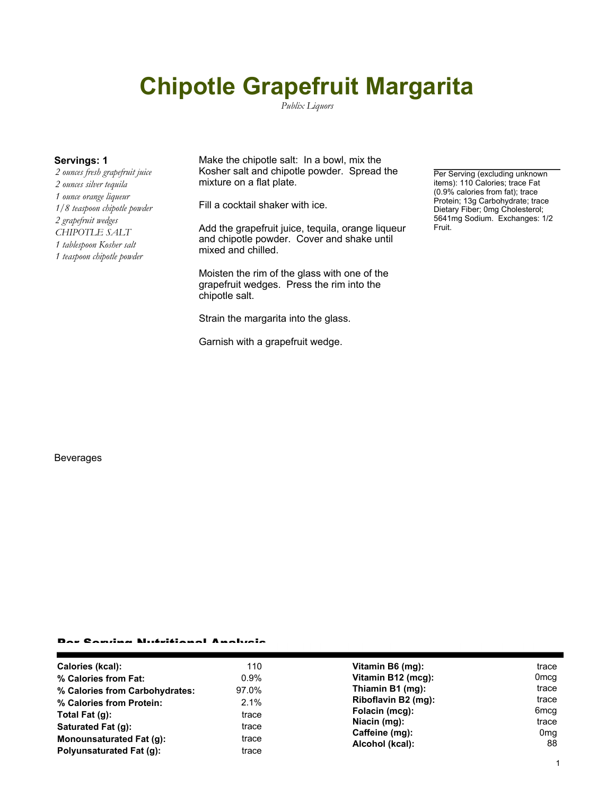# **Chipotle Grapefruit Margarita**

*Publix Liquors*

*2 ounces fresh grapefruit juice 2 ounces silver tequila 1 ounce orange liqueur 1/8 teaspoon chipotle powder 2 grapefruit wedges CHIPOTLE SALT 1 tablespoon Kosher salt 1 teaspoon chipotle powder*

**Servings: 1** Make the chipotle salt: In a bowl, mix the Kosher salt and chipotle powder. Spread the mixture on a flat plate.

Fill a cocktail shaker with ice.

Add the grapefruit juice, tequila, orange liqueur and chipotle powder. Cover and shake until mixed and chilled.

Moisten the rim of the glass with one of the grapefruit wedges. Press the rim into the chipotle salt.

Strain the margarita into the glass.

Garnish with a grapefruit wedge.

Per Serving (excluding unknown items): 110 Calories; trace Fat (0.9% calories from fat); trace Protein; 13g Carbohydrate; trace Dietary Fiber; 0mg Cholesterol; 5641mg Sodium. Exchanges: 1/2 Fruit.

### Beverages

#### Per Serving Nutritional Analysis

| Calories (kcal):<br>% Calories from Fat:<br>97.0%<br>% Calories from Carbohydrates:<br>% Calories from Protein:<br>Total Fat (g):<br>Saturated Fat (q):<br>Monounsaturated Fat (g):<br>Polyunsaturated Fat (q): | 110<br>Vitamin B6 (mg):<br>Vitamin B12 (mcg):<br>$0.9\%$<br>Thiamin B1 (mg):<br>Riboflavin B2 (mg):<br>2.1%<br>Folacin (mcg):<br>trace<br>Niacin (mg):<br>trace<br>Caffeine (mg):<br>trace<br>Alcohol (kcal):<br>trace | trace<br>0 <sub>mcq</sub><br>trace<br>trace<br>6 <sub>mcq</sub><br>trace<br>0 <sub>mq</sub><br>88 |
|-----------------------------------------------------------------------------------------------------------------------------------------------------------------------------------------------------------------|------------------------------------------------------------------------------------------------------------------------------------------------------------------------------------------------------------------------|---------------------------------------------------------------------------------------------------|
|-----------------------------------------------------------------------------------------------------------------------------------------------------------------------------------------------------------------|------------------------------------------------------------------------------------------------------------------------------------------------------------------------------------------------------------------------|---------------------------------------------------------------------------------------------------|